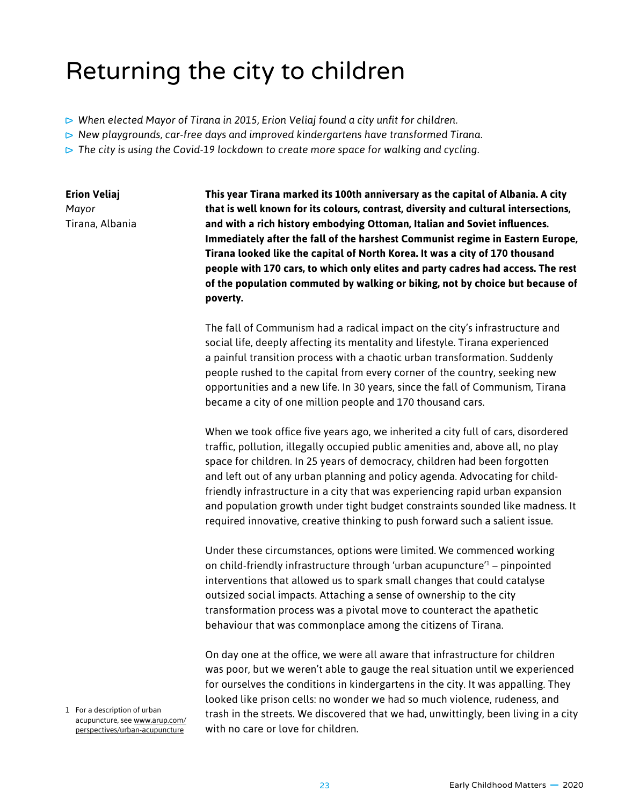## Returning the city to children

- *When elected Mayor of Tirana in 2015, Erion Veliaj found a city unfit for children.*
- *New playgrounds, car-free days and improved kindergartens have transformed Tirana.*
- *The city is using the Covid-19 lockdown to create more space for walking and cycling.*

**Erion Veliaj** *Mayor* Tirana, Albania **This year Tirana marked its 100th anniversary as the capital of Albania. A city that is well known for its colours, contrast, diversity and cultural intersections, and with a rich history embodying Ottoman, Italian and Soviet influences. Immediately after the fall of the harshest Communist regime in Eastern Europe, Tirana looked like the capital of North Korea. It was a city of 170 thousand people with 170 cars, to which only elites and party cadres had access. The rest of the population commuted by walking or biking, not by choice but because of poverty.**

The fall of Communism had a radical impact on the city's infrastructure and social life, deeply affecting its mentality and lifestyle. Tirana experienced a painful transition process with a chaotic urban transformation. Suddenly people rushed to the capital from every corner of the country, seeking new opportunities and a new life. In 30 years, since the fall of Communism, Tirana became a city of one million people and 170 thousand cars.

When we took office five years ago, we inherited a city full of cars, disordered traffic, pollution, illegally occupied public amenities and, above all, no play space for children. In 25 years of democracy, children had been forgotten and left out of any urban planning and policy agenda. Advocating for childfriendly infrastructure in a city that was experiencing rapid urban expansion and population growth under tight budget constraints sounded like madness. It required innovative, creative thinking to push forward such a salient issue.

Under these circumstances, options were limited. We commenced working on child-friendly infrastructure through 'urban acupuncture'1 – pinpointed interventions that allowed us to spark small changes that could catalyse outsized social impacts. Attaching a sense of ownership to the city transformation process was a pivotal move to counteract the apathetic behaviour that was commonplace among the citizens of Tirana.

On day one at the office, we were all aware that infrastructure for children was poor, but we weren't able to gauge the real situation until we experienced for ourselves the conditions in kindergartens in the city. It was appalling. They looked like prison cells: no wonder we had so much violence, rudeness, and trash in the streets. We discovered that we had, unwittingly, been living in a city with no care or love for children.

1 For a description of urban acupuncture, see [www.arup.com/](http://www.arup.com/perspectives/urban-acupuncture) [perspectives/urban-acupuncture](http://www.arup.com/perspectives/urban-acupuncture)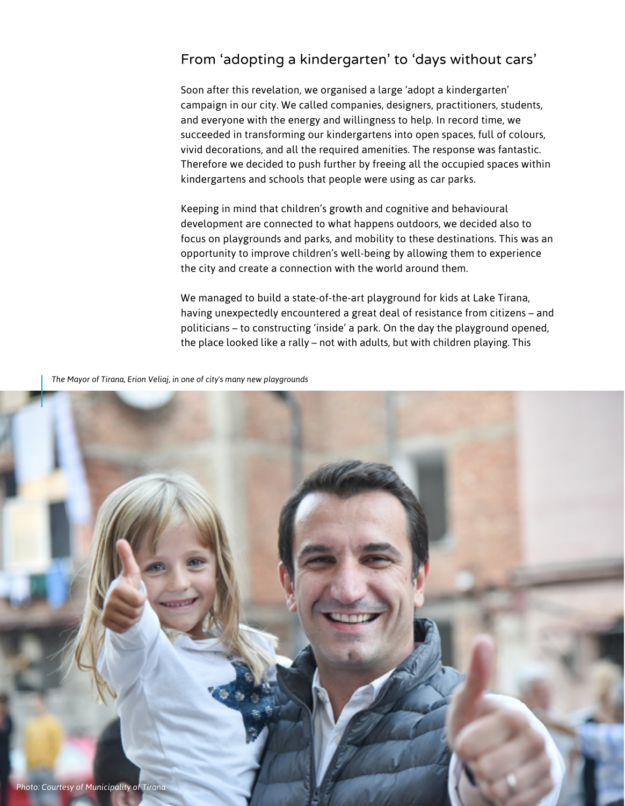## From 'adopting a kindergarten' to 'days without cars'

Soon after this revelation, we organised a large 'adopt a kindergarten' campaign in our city. We called companies, designers, practitioners, students, and everyone with the energy and willingness to help. In record time, we succeeded in transforming our kindergartens into open spaces, full of colours, vivid decorations, and all the required amenities. The response was fantastic. Therefore we decided to push further by freeing all the occupied spaces within kindergartens and schools that people were using as car parks.

Keeping in mind that children's growth and cognitive and behavioural development are connected to what happens outdoors, we decided also to focus on playgrounds and parks, and mobility to these destinations. This was an opportunity to improve children's well-being by allowing them to experience the city and create a connection with the world around them.

We managed to build a state-of-the-art playground for kids at Lake Tirana, having unexpectedly encountered a great deal of resistance from citizens – and politicians – to constructing 'inside' a park. On the day the playground opened, the place looked like a rally – not with adults, but with children playing. This

*The Mayor of Tirana, Erion Veliaj, in one of city's many new playgrounds*

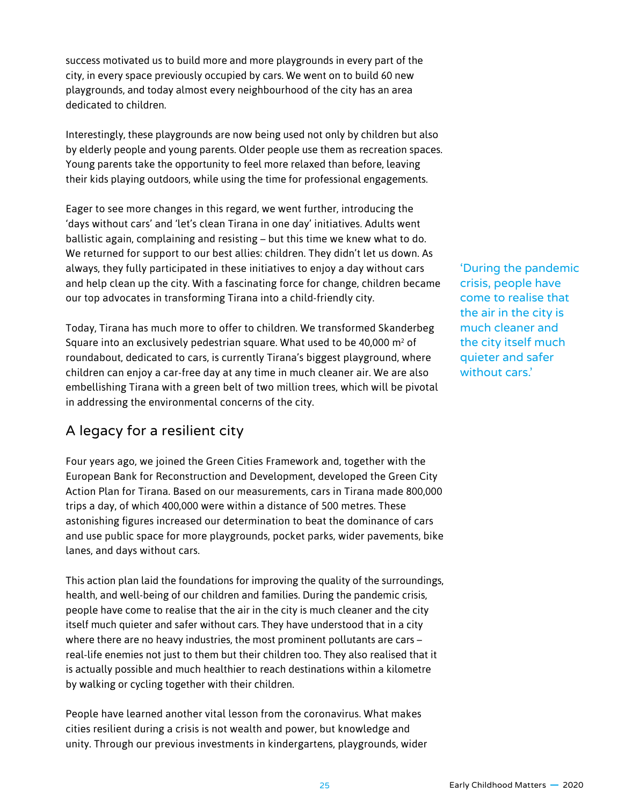success motivated us to build more and more playgrounds in every part of the city, in every space previously occupied by cars. We went on to build 60 new playgrounds, and today almost every neighbourhood of the city has an area dedicated to children.

Interestingly, these playgrounds are now being used not only by children but also by elderly people and young parents. Older people use them as recreation spaces. Young parents take the opportunity to feel more relaxed than before, leaving their kids playing outdoors, while using the time for professional engagements.

Eager to see more changes in this regard, we went further, introducing the 'days without cars' and 'let's clean Tirana in one day' initiatives. Adults went ballistic again, complaining and resisting – but this time we knew what to do. We returned for support to our best allies: children. They didn't let us down. As always, they fully participated in these initiatives to enjoy a day without cars and help clean up the city. With a fascinating force for change, children became our top advocates in transforming Tirana into a child-friendly city.

Today, Tirana has much more to offer to children. We transformed Skanderbeg Square into an exclusively pedestrian square. What used to be 40,000  $\mathsf{m}^{\scriptscriptstyle 2}$  of roundabout, dedicated to cars, is currently Tirana's biggest playground, where children can enjoy a car-free day at any time in much cleaner air. We are also embellishing Tirana with a green belt of two million trees, which will be pivotal in addressing the environmental concerns of the city.

## A legacy for a resilient city

Four years ago, we joined the Green Cities Framework and, together with the European Bank for Reconstruction and Development, developed the Green City Action Plan for Tirana. Based on our measurements, cars in Tirana made 800,000 trips a day, of which 400,000 were within a distance of 500 metres. These astonishing figures increased our determination to beat the dominance of cars and use public space for more playgrounds, pocket parks, wider pavements, bike lanes, and days without cars.

This action plan laid the foundations for improving the quality of the surroundings, health, and well-being of our children and families. During the pandemic crisis, people have come to realise that the air in the city is much cleaner and the city itself much quieter and safer without cars. They have understood that in a city where there are no heavy industries, the most prominent pollutants are cars – real-life enemies not just to them but their children too. They also realised that it is actually possible and much healthier to reach destinations within a kilometre by walking or cycling together with their children.

People have learned another vital lesson from the coronavirus. What makes cities resilient during a crisis is not wealth and power, but knowledge and unity. Through our previous investments in kindergartens, playgrounds, wider 'During the pandemic crisis, people have come to realise that the air in the city is much cleaner and the city itself much quieter and safer without cars.'